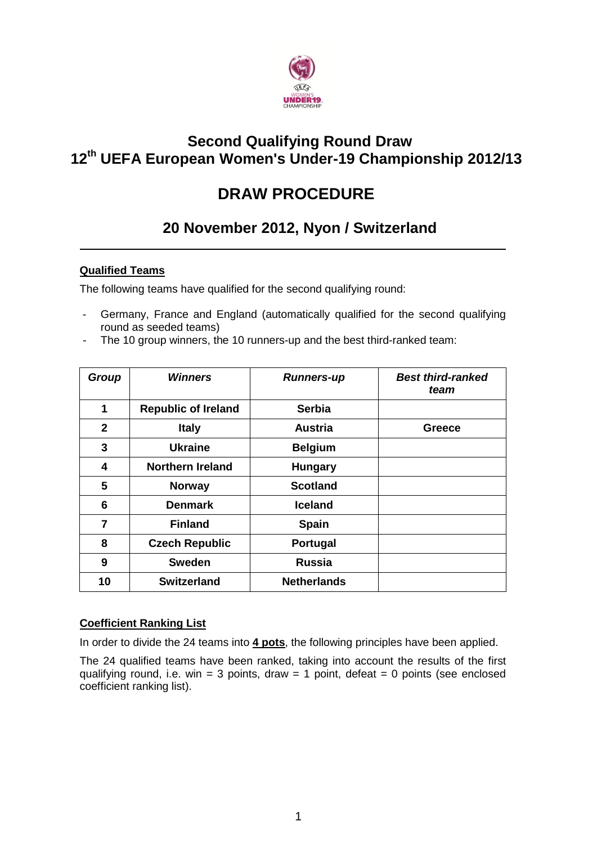

# **Second Qualifying Round Draw 12 th UEFA European Women's Under-19 Championship 2012/13**

# **DRAW PROCEDURE**

# **20 November 2012, Nyon / Switzerland**

# **Qualified Teams**

The following teams have qualified for the second qualifying round:

- Germany, France and England (automatically qualified for the second qualifying round as seeded teams)
- The 10 group winners, the 10 runners-up and the best third-ranked team:

| Group          | <b>Winners</b>             | <b>Runners-up</b>  | <b>Best third-ranked</b><br>team |
|----------------|----------------------------|--------------------|----------------------------------|
| 1              | <b>Republic of Ireland</b> | <b>Serbia</b>      |                                  |
| $\mathbf{2}$   | <b>Italy</b>               | <b>Austria</b>     | Greece                           |
| 3              | <b>Ukraine</b>             | <b>Belgium</b>     |                                  |
| 4              | <b>Northern Ireland</b>    | <b>Hungary</b>     |                                  |
| 5              | <b>Norway</b>              | <b>Scotland</b>    |                                  |
| 6              | <b>Denmark</b>             | <b>Iceland</b>     |                                  |
| $\overline{7}$ | <b>Finland</b>             | <b>Spain</b>       |                                  |
| 8              | <b>Czech Republic</b>      | Portugal           |                                  |
| 9              | <b>Sweden</b>              | <b>Russia</b>      |                                  |
| 10             | <b>Switzerland</b>         | <b>Netherlands</b> |                                  |

# **Coefficient Ranking List**

In order to divide the 24 teams into **4 pots**, the following principles have been applied.

The 24 qualified teams have been ranked, taking into account the results of the first qualifying round, i.e. win = 3 points, draw = 1 point, defeat = 0 points (see enclosed coefficient ranking list).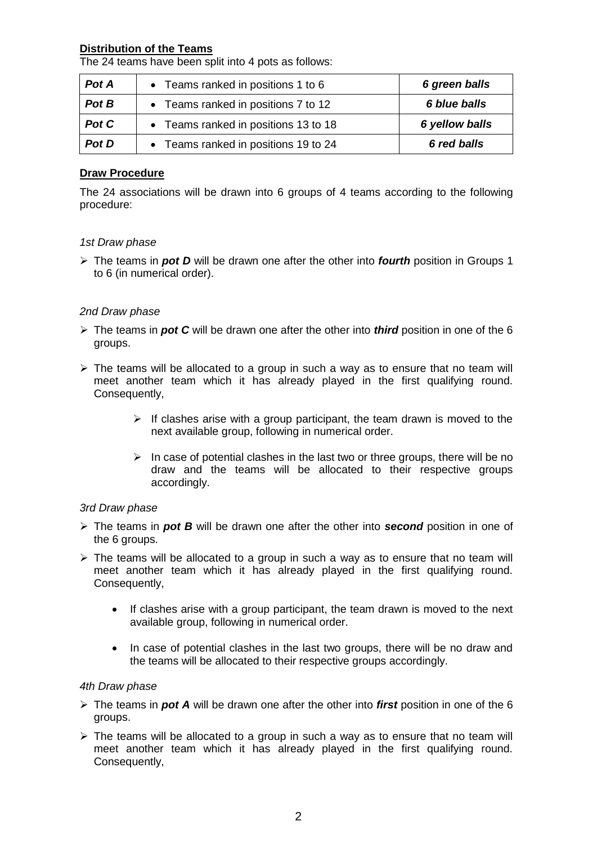## **Distribution of the Teams**

The 24 teams have been split into 4 pots as follows:

| Pot A | • Teams ranked in positions 1 to 6   | 6 green balls  |
|-------|--------------------------------------|----------------|
| Pot B | • Teams ranked in positions 7 to 12  | 6 blue balls   |
| Pot C | • Teams ranked in positions 13 to 18 | 6 yellow balls |
| Pot D | • Teams ranked in positions 19 to 24 | 6 red balls    |

## **Draw Procedure**

The 24 associations will be drawn into 6 groups of 4 teams according to the following procedure:

#### *1st Draw phase*

 The teams in *pot D* will be drawn one after the other into *fourth* position in Groups 1 to 6 (in numerical order).

### *2nd Draw phase*

- The teams in *pot C* will be drawn one after the other into *third* position in one of the 6 groups.
- $\triangleright$  The teams will be allocated to a group in such a way as to ensure that no team will meet another team which it has already played in the first qualifying round. Consequently,
	- $\triangleright$  If clashes arise with a group participant, the team drawn is moved to the next available group, following in numerical order.
	- $\triangleright$  In case of potential clashes in the last two or three groups, there will be no draw and the teams will be allocated to their respective groups accordingly.

### *3rd Draw phase*

- The teams in *pot B* will be drawn one after the other into *second* position in one of the 6 groups.
- $\triangleright$  The teams will be allocated to a group in such a way as to ensure that no team will meet another team which it has already played in the first qualifying round. Consequently,
	- If clashes arise with a group participant, the team drawn is moved to the next available group, following in numerical order.
	- In case of potential clashes in the last two groups, there will be no draw and the teams will be allocated to their respective groups accordingly.

### *4th Draw phase*

- The teams in *pot A* will be drawn one after the other into *first* position in one of the 6 groups.
- $\triangleright$  The teams will be allocated to a group in such a way as to ensure that no team will meet another team which it has already played in the first qualifying round. Consequently,